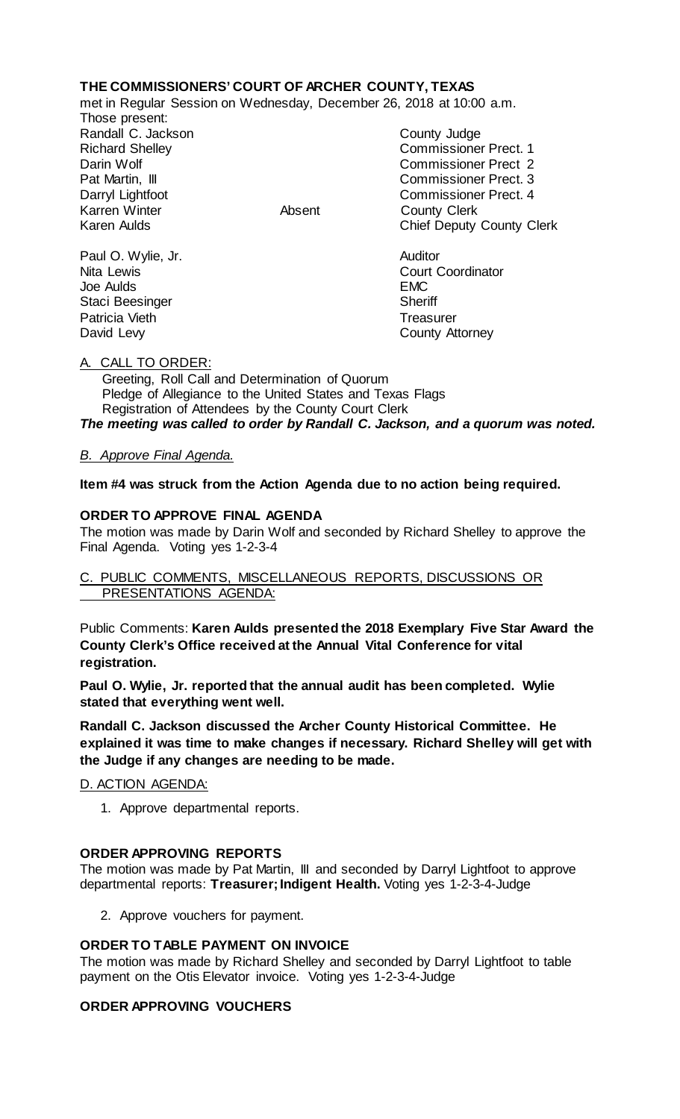# **THE COMMISSIONERS' COURT OF ARCHER COUNTY, TEXAS**

met in Regular Session on Wednesday, December 26, 2018 at 10:00 a.m.

Those present: Randall C. Jackson County Judge Karren Winter Absent County Clerk

Richard Shelley Commissioner Prect. 1 Darin Wolf Commissioner Prect 2 Pat Martin, III Commissioner Prect. 3 Darryl Lightfoot **Commissioner Prect. 4**<br>
Karren Winter **County County Clerk** Chief Deputy County Clerk

Paul O. Wylie, Jr. **Auditor** Joe Aulds EMC Staci Beesinger Sheriff Patricia Vieth Treasurer<br>
David Levy County Atlanta

Nita Lewis **Court Coordinator** Court Coordinator County Attorney

# A. CALL TO ORDER:

 Greeting, Roll Call and Determination of Quorum Pledge of Allegiance to the United States and Texas Flags Registration of Attendees by the County Court Clerk *The meeting was called to order by Randall C. Jackson, and a quorum was noted.*

# *B. Approve Final Agenda.*

**Item #4 was struck from the Action Agenda due to no action being required.**

# **ORDER TO APPROVE FINAL AGENDA**

The motion was made by Darin Wolf and seconded by Richard Shelley to approve the Final Agenda. Voting yes 1-2-3-4

# C. PUBLIC COMMENTS, MISCELLANEOUS REPORTS, DISCUSSIONS OR PRESENTATIONS AGENDA:

Public Comments: **Karen Aulds presented the 2018 Exemplary Five Star Award the County Clerk's Office received at the Annual Vital Conference for vital registration.**

**Paul O. Wylie, Jr. reported that the annual audit has been completed. Wylie stated that everything went well.**

**Randall C. Jackson discussed the Archer County Historical Committee. He explained it was time to make changes if necessary. Richard Shelley will get with the Judge if any changes are needing to be made.**

D. ACTION AGENDA:

1. Approve departmental reports.

# **ORDER APPROVING REPORTS**

The motion was made by Pat Martin, III and seconded by Darryl Lightfoot to approve departmental reports: **Treasurer; Indigent Health.** Voting yes 1-2-3-4-Judge

2. Approve vouchers for payment.

### **ORDER TO TABLE PAYMENT ON INVOICE**

The motion was made by Richard Shelley and seconded by Darryl Lightfoot to table payment on the Otis Elevator invoice. Voting yes 1-2-3-4-Judge

### **ORDER APPROVING VOUCHERS**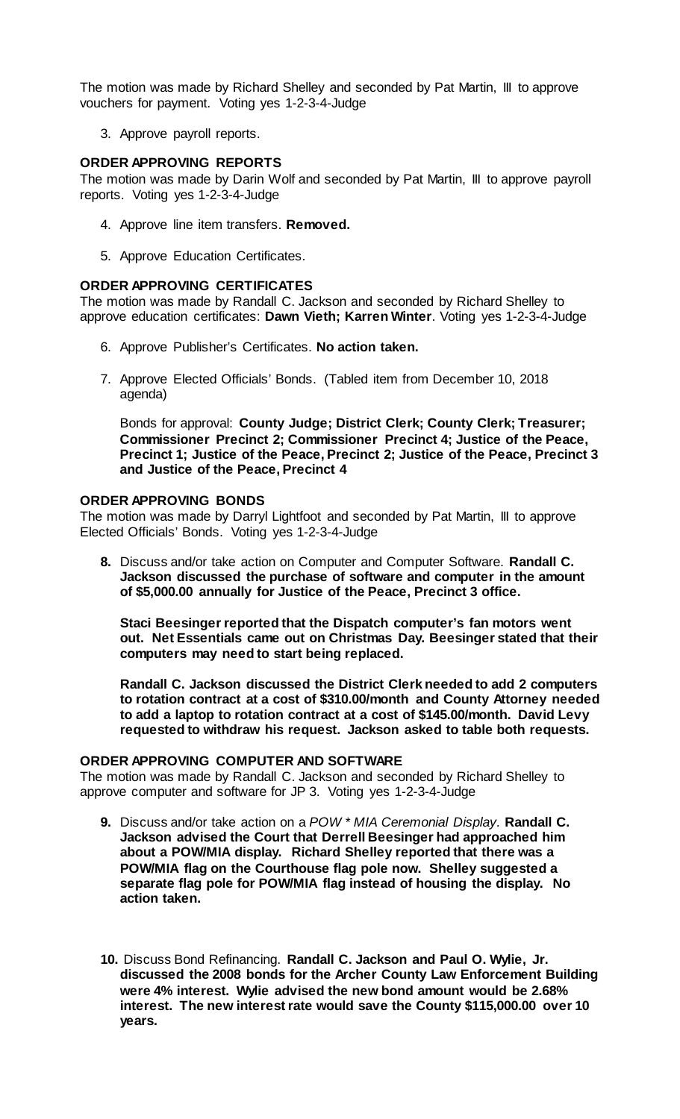The motion was made by Richard Shelley and seconded by Pat Martin, III to approve vouchers for payment. Voting yes 1-2-3-4-Judge

3. Approve payroll reports.

### **ORDER APPROVING REPORTS**

The motion was made by Darin Wolf and seconded by Pat Martin, III to approve payroll reports. Voting yes 1-2-3-4-Judge

- 4. Approve line item transfers. **Removed.**
- 5. Approve Education Certificates.

#### **ORDER APPROVING CERTIFICATES**

The motion was made by Randall C. Jackson and seconded by Richard Shelley to approve education certificates: **Dawn Vieth; Karren Winter**. Voting yes 1-2-3-4-Judge

- 6. Approve Publisher's Certificates. **No action taken.**
- 7. Approve Elected Officials' Bonds. (Tabled item from December 10, 2018 agenda)

Bonds for approval: **County Judge; District Clerk; County Clerk; Treasurer; Commissioner Precinct 2; Commissioner Precinct 4; Justice of the Peace, Precinct 1; Justice of the Peace, Precinct 2; Justice of the Peace, Precinct 3 and Justice of the Peace, Precinct 4**

# **ORDER APPROVING BONDS**

The motion was made by Darryl Lightfoot and seconded by Pat Martin, III to approve Elected Officials' Bonds. Voting yes 1-2-3-4-Judge

**8.** Discuss and/or take action on Computer and Computer Software. **Randall C. Jackson discussed the purchase of software and computer in the amount of \$5,000.00 annually for Justice of the Peace, Precinct 3 office.** 

**Staci Beesinger reported that the Dispatch computer's fan motors went out. Net Essentials came out on Christmas Day. Beesinger stated that their computers may need to start being replaced.**

**Randall C. Jackson discussed the District Clerk needed to add 2 computers to rotation contract at a cost of \$310.00/month and County Attorney needed to add a laptop to rotation contract at a cost of \$145.00/month. David Levy requested to withdraw his request. Jackson asked to table both requests.**

#### **ORDER APPROVING COMPUTER AND SOFTWARE**

The motion was made by Randall C. Jackson and seconded by Richard Shelley to approve computer and software for JP 3. Voting yes 1-2-3-4-Judge

- **9.** Discuss and/or take action on a *POW \* MIA Ceremonial Display.* **Randall C. Jackson advised the Court that Derrell Beesinger had approached him about a POW/MIA display. Richard Shelley reported that there was a POW/MIA flag on the Courthouse flag pole now. Shelley suggested a separate flag pole for POW/MIA flag instead of housing the display. No action taken.**
- **10.** Discuss Bond Refinancing. **Randall C. Jackson and Paul O. Wylie, Jr. discussed the 2008 bonds for the Archer County Law Enforcement Building were 4% interest. Wylie advised the new bond amount would be 2.68% interest. The new interest rate would save the County \$115,000.00 over 10 years.**